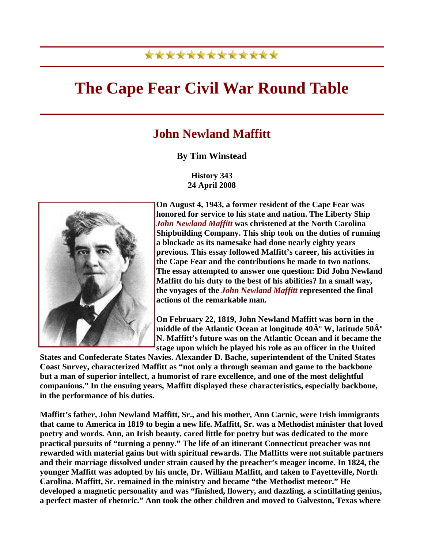## \*\*\*\*\*\*\*\*\*\*\*\*\*

## **The Cape Fear Civil War Round Table**

## **John Newland Maffitt**

## **By Tim Winstead**

**History 343 24 April 2008**



**On August 4, 1943, a former resident of the Cape Fear was honored for service to his state and nation. The Liberty Ship**  *John Newland Maffitt* **was christened at the North Carolina Shipbuilding Company. This ship took on the duties of running a blockade as its namesake had done nearly eighty years previous. This essay followed Maffitt's career, his activities in the Cape Fear and the contributions he made to two nations. The essay attempted to answer one question: Did John Newland Maffitt do his duty to the best of his abilities? In a small way, the voyages of the** *John Newland Maffitt* **represented the final actions of the remarkable man.**

**On February 22, 1819, John Newland Maffitt was born in the middle of the Atlantic Ocean at longitude 40** $\mathbf{\hat{A}^o}$  **W, latitude 50** $\mathbf{\hat{A}^o}$ **N. Maffitt's future was on the Atlantic Ocean and it became the stage upon which he played his role as an officer in the United** 

**States and Confederate States Navies. Alexander D. Bache, superintendent of the United States Coast Survey, characterized Maffitt as "not only a through seaman and game to the backbone but a man of superior intellect, a humorist of rare excellence, and one of the most delightful companions." In the ensuing years, Maffitt displayed these characteristics, especially backbone, in the performance of his duties.**

**Maffitt's father, John Newland Maffitt, Sr., and his mother, Ann Carnic, were Irish immigrants that came to America in 1819 to begin a new life. Maffitt, Sr. was a Methodist minister that loved poetry and words. Ann, an Irish beauty, cared little for poetry but was dedicated to the more practical pursuits of "turning a penny." The life of an itinerant Connecticut preacher was not rewarded with material gains but with spiritual rewards. The Maffitts were not suitable partners and their marriage dissolved under strain caused by the preacher's meager income. In 1824, the younger Maffitt was adopted by his uncle, Dr. William Maffitt, and taken to Fayetteville, North Carolina. Maffitt, Sr. remained in the ministry and became "the Methodist meteor." He developed a magnetic personality and was "finished, flowery, and dazzling, a scintillating genius, a perfect master of rhetoric." Ann took the other children and moved to Galveston, Texas where**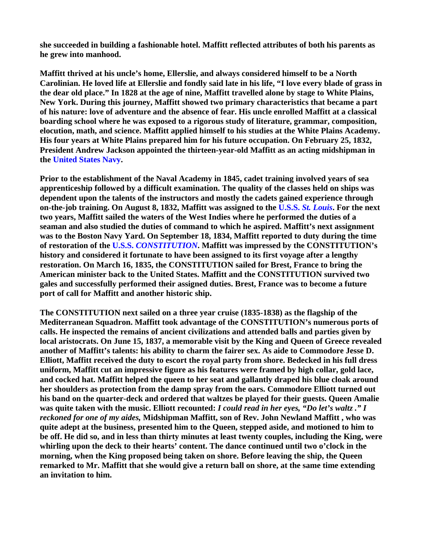**she succeeded in building a fashionable hotel. Maffitt reflected attributes of both his parents as he grew into manhood.**

**Maffitt thrived at his uncle's home, Ellerslie, and always considered himself to be a North Carolinian. He loved life at Ellerslie and fondly said late in his life, "I love every blade of grass in the dear old place." In 1828 at the age of nine, Maffitt travelled alone by stage to White Plains, New York. During this journey, Maffitt showed two primary characteristics that became a part of his nature: love of adventure and the absence of fear. His uncle enrolled Maffitt at a classical boarding school where he was exposed to a rigorous study of literature, grammar, composition, elocution, math, and science. Maffitt applied himself to his studies at the White Plains Academy. His four years at White Plains prepared him for his future occupation. On February 25, 1832, President Andrew Jackson appointed the thirteen-year-old Maffitt as an acting midshipman in the United States Navy.**

**Prior to the establishment of the Naval Academy in 1845, cadet training involved years of sea apprenticeship followed by a difficult examination. The quality of the classes held on ships was dependent upon the talents of the instructors and mostly the cadets gained experience through on-the-job training. On August 8, 1832, Maffitt was assigned to the U.S.S.** *St. Louis***. For the next two years, Maffitt sailed the waters of the West Indies where he performed the duties of a seaman and also studied the duties of command to which he aspired. Maffitt's next assignment was to the Boston Navy Yard. On September 18, 1834, Maffitt reported to duty during the time of restoration of the U.S.S.** *CONSTITUTION***. Maffitt was impressed by the CONSTITUTION's history and considered it fortunate to have been assigned to its first voyage after a lengthy restoration. On March 16, 1835, the CONSTITUTION sailed for Brest, France to bring the American minister back to the United States. Maffitt and the CONSTITUTION survived two gales and successfully performed their assigned duties. Brest, France was to become a future port of call for Maffitt and another historic ship.**

**The CONSTITUTION next sailed on a three year cruise (1835-1838) as the flagship of the Mediterranean Squadron. Maffitt took advantage of the CONSTITUTION's numerous ports of calls. He inspected the remains of ancient civilizations and attended balls and parties given by local aristocrats. On June 15, 1837, a memorable visit by the King and Queen of Greece revealed another of Maffitt's talents: his ability to charm the fairer sex. As aide to Commodore Jesse D. Elliott, Maffitt received the duty to escort the royal party from shore. Bedecked in his full dress uniform, Maffitt cut an impressive figure as his features were framed by high collar, gold lace, and cocked hat. Maffitt helped the queen to her seat and gallantly draped his blue cloak around her shoulders as protection from the damp spray from the oars. Commodore Elliott turned out his band on the quarter-deck and ordered that waltzes be played for their guests. Queen Amalie was quite taken with the music. Elliott recounted:** *I could read in her eyes, "Do let's waltz ." I reckoned for one of my aides,* **Midshipman Maffitt, son of Rev. John Newland Maffitt , who was quite adept at the business, presented him to the Queen, stepped aside, and motioned to him to be off. He did so, and in less than thirty minutes at least twenty couples, including the King, were whirling upon the deck to their hearts' content. The dance continued until two o'clock in the morning, when the King proposed being taken on shore. Before leaving the ship, the Queen remarked to Mr. Maffitt that she would give a return ball on shore, at the same time extending an invitation to him.**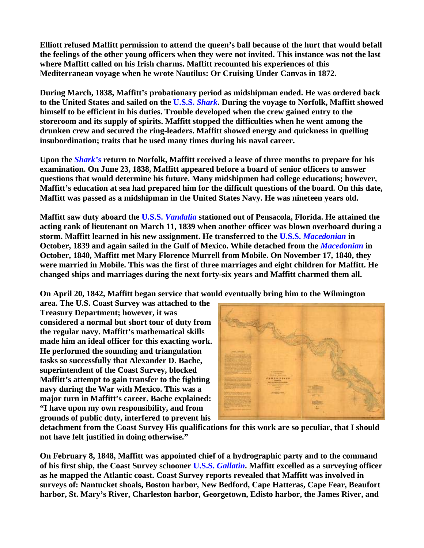**Elliott refused Maffitt permission to attend the queen's ball because of the hurt that would befall the feelings of the other young officers when they were not invited. This instance was not the last where Maffitt called on his Irish charms. Maffitt recounted his experiences of this Mediterranean voyage when he wrote Nautilus: Or Cruising Under Canvas in 1872.**

**During March, 1838, Maffitt's probationary period as midshipman ended. He was ordered back to the United States and sailed on the U.S.S.** *Shark***. During the voyage to Norfolk, Maffitt showed himself to be efficient in his duties. Trouble developed when the crew gained entry to the storeroom and its supply of spirits. Maffitt stopped the difficulties when he went among the drunken crew and secured the ring-leaders. Maffitt showed energy and quickness in quelling insubordination; traits that he used many times during his naval career.**

**Upon the** *Shark's* **return to Norfolk, Maffitt received a leave of three months to prepare for his examination. On June 23, 1838, Maffitt appeared before a board of senior officers to answer questions that would determine his future. Many midshipmen had college educations; however, Maffitt's education at sea had prepared him for the difficult questions of the board. On this date, Maffitt was passed as a midshipman in the United States Navy. He was nineteen years old.**

**Maffitt saw duty aboard the U.S.S.** *Vandalia* **stationed out of Pensacola, Florida. He attained the acting rank of lieutenant on March 11, 1839 when another officer was blown overboard during a storm. Maffitt learned in his new assignment. He transferred to the U.S.S.** *Macedonian* **in October, 1839 and again sailed in the Gulf of Mexico. While detached from the** *Macedonian* **in October, 1840, Maffitt met Mary Florence Murrell from Mobile. On November 17, 1840, they were married in Mobile. This was the first of three marriages and eight children for Maffitt. He changed ships and marriages during the next forty-six years and Maffitt charmed them all.**

**On April 20, 1842, Maffitt began service that would eventually bring him to the Wilmington** 

**area. The U.S. Coast Survey was attached to the Treasury Department; however, it was considered a normal but short tour of duty from the regular navy. Maffitt's mathematical skills made him an ideal officer for this exacting work. He performed the sounding and triangulation tasks so successfully that Alexander D. Bache, superintendent of the Coast Survey, blocked Maffitt's attempt to gain transfer to the fighting navy during the War with Mexico. This was a major turn in Maffitt's career. Bache explained: "I have upon my own responsibility, and from grounds of public duty, interfered to prevent his** 



**detachment from the Coast Survey His qualifications for this work are so peculiar, that I should not have felt justified in doing otherwise."**

**On February 8, 1848, Maffitt was appointed chief of a hydrographic party and to the command of his first ship, the Coast Survey schooner U.S.S.** *Gallatin***. Maffitt excelled as a surveying officer as he mapped the Atlantic coast. Coast Survey reports revealed that Maffitt was involved in surveys of: Nantucket shoals, Boston harbor, New Bedford, Cape Hatteras, Cape Fear, Beaufort harbor, St. Mary's River, Charleston harbor, Georgetown, Edisto harbor, the James River, and**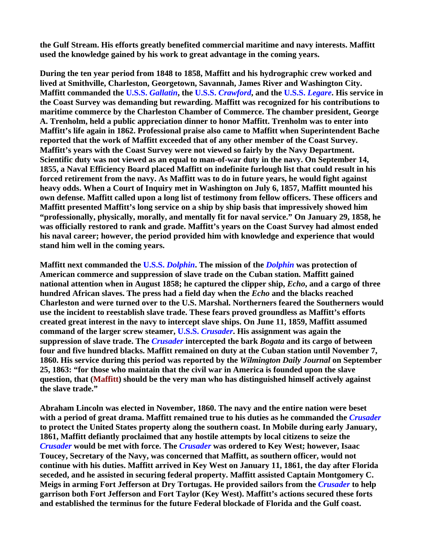**the Gulf Stream. His efforts greatly benefited commercial maritime and navy interests. Maffitt used the knowledge gained by his work to great advantage in the coming years.**

**During the ten year period from 1848 to 1858, Maffitt and his hydrographic crew worked and lived at Smithville, Charleston, Georgetown, Savannah, James River and Washington City. Maffitt commanded the U.S.S.** *Gallatin***, the U.S.S.** *Crawford***, and the U.S.S.** *Legare***. His service in the Coast Survey was demanding but rewarding. Maffitt was recognized for his contributions to maritime commerce by the Charleston Chamber of Commerce. The chamber president, George A. Trenholm, held a public appreciation dinner to honor Maffitt. Trenholm was to enter into Maffitt's life again in 1862. Professional praise also came to Maffitt when Superintendent Bache reported that the work of Maffitt exceeded that of any other member of the Coast Survey. Maffitt's years with the Coast Survey were not viewed so fairly by the Navy Department. Scientific duty was not viewed as an equal to man-of-war duty in the navy. On September 14, 1855, a Naval Efficiency Board placed Maffitt on indefinite furlough list that could result in his forced retirement from the navy. As Maffitt was to do in future years, he would fight against heavy odds. When a Court of Inquiry met in Washington on July 6, 1857, Maffitt mounted his own defense. Maffitt called upon a long list of testimony from fellow officers. These officers and Maffitt presented Maffitt's long service on a ship by ship basis that impressively showed him "professionally, physically, morally, and mentally fit for naval service." On January 29, 1858, he was officially restored to rank and grade. Maffitt's years on the Coast Survey had almost ended his naval career; however, the period provided him with knowledge and experience that would stand him well in the coming years.**

**Maffitt next commanded the U.S.S.** *Dolphin***. The mission of the** *Dolphin* **was protection of American commerce and suppression of slave trade on the Cuban station. Maffitt gained national attention when in August 1858; he captured the clipper ship,** *Echo***, and a cargo of three hundred African slaves. The press had a field day when the** *Echo* **and the blacks reached Charleston and were turned over to the U.S. Marshal. Northerners feared the Southerners would use the incident to reestablish slave trade. These fears proved groundless as Maffitt's efforts created great interest in the navy to intercept slave ships. On June 11, 1859, Maffitt assumed command of the larger screw steamer, U.S.S.** *Crusader***. His assignment was again the suppression of slave trade. The** *Crusader* **intercepted the bark** *Bogata* **and its cargo of between four and five hundred blacks. Maffitt remained on duty at the Cuban station until November 7, 1860. His service during this period was reported by the** *Wilmington Daily Journal* **on September 25, 1863: "for those who maintain that the civil war in America is founded upon the slave question, that (Maffitt) should be the very man who has distinguished himself actively against the slave trade."**

**Abraham Lincoln was elected in November, 1860. The navy and the entire nation were beset with a period of great drama. Maffitt remained true to his duties as he commanded the** *Crusader* **to protect the United States property along the southern coast. In Mobile during early January, 1861, Maffitt defiantly proclaimed that any hostile attempts by local citizens to seize the**  *Crusader* **would be met with force. The** *Crusader* **was ordered to Key West; however, Isaac Toucey, Secretary of the Navy, was concerned that Maffitt, as southern officer, would not continue with his duties. Maffitt arrived in Key West on January 11, 1861, the day after Florida seceded, and he assisted in securing federal property. Maffitt assisted Captain Montgomery C. Meigs in arming Fort Jefferson at Dry Tortugas. He provided sailors from the** *Crusader* **to help garrison both Fort Jefferson and Fort Taylor (Key West). Maffitt's actions secured these forts and established the terminus for the future Federal blockade of Florida and the Gulf coast.**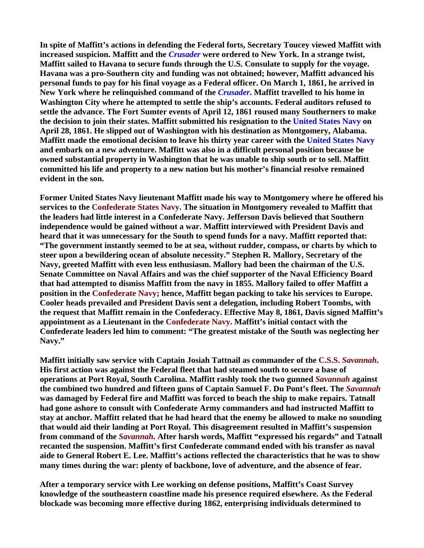**In spite of Maffitt's actions in defending the Federal forts, Secretary Toucey viewed Maffitt with increased suspicion. Maffitt and the** *Crusader* **were ordered to New York. In a strange twist, Maffitt sailed to Havana to secure funds through the U.S. Consulate to supply for the voyage. Havana was a pro-Southern city and funding was not obtained; however, Maffitt advanced his personal funds to pay for his final voyage as a Federal officer. On March 1, 1861, he arrived in New York where he relinquished command of the** *Crusader***. Maffitt travelled to his home in Washington City where he attempted to settle the ship's accounts. Federal auditors refused to settle the advance. The Fort Sumter events of April 12, 1861 roused many Southerners to make the decision to join their states. Maffitt submitted his resignation to the United States Navy on April 28, 1861. He slipped out of Washington with his destination as Montgomery, Alabama. Maffitt made the emotional decision to leave his thirty year career with the United States Navy and embark on a new adventure. Maffitt was also in a difficult personal position because be owned substantial property in Washington that he was unable to ship south or to sell. Maffitt committed his life and property to a new nation but his mother's financial resolve remained evident in the son.**

**Former United States Navy lieutenant Maffitt made his way to Montgomery where he offered his services to the Confederate States Navy. The situation in Montgomery revealed to Maffitt that the leaders had little interest in a Confederate Navy. Jefferson Davis believed that Southern independence would be gained without a war. Maffitt interviewed with President Davis and heard that it was unnecessary for the South to spend funds for a navy. Maffitt reported that: "The government instantly seemed to be at sea, without rudder, compass, or charts by which to steer upon a bewildering ocean of absolute necessity." Stephen R. Mallory, Secretary of the Navy, greeted Maffitt with even less enthusiasm. Mallory had been the chairman of the U.S. Senate Committee on Naval Affairs and was the chief supporter of the Naval Efficiency Board that had attempted to dismiss Maffitt from the navy in 1855. Mallory failed to offer Maffitt a position in the Confederate Navy; hence, Maffitt began packing to take his services to Europe. Cooler heads prevailed and President Davis sent a delegation, including Robert Toombs, with the request that Maffitt remain in the Confederacy. Effective May 8, 1861, Davis signed Maffitt's appointment as a Lieutenant in the Confederate Navy. Maffitt's initial contact with the Confederate leaders led him to comment: "The greatest mistake of the South was neglecting her Navy."**

**Maffitt initially saw service with Captain Josiah Tattnail as commander of the C.S.S.** *Savannah***. His first action was against the Federal fleet that had steamed south to secure a base of operations at Port Royal, South Carolina. Maffitt rashly took the two gunned** *Savannah* **against the combined two hundred and fifteen guns of Captain Samuel F. Du Pont's fleet. The** *Savannah* **was damaged by Federal fire and Maffitt was forced to beach the ship to make repairs. Tatnall had gone ashore to consult with Confederate Army commanders and had instructed Maffitt to stay at anchor. Maffitt related that he had heard that the enemy be allowed to make no sounding that would aid their landing at Port Royal. This disagreement resulted in Maffitt's suspension from command of the** *Savannah***. After harsh words, Maffitt "expressed his regards" and Tatnall recanted the suspension. Maffitt's first Confederate command ended with his transfer as naval aide to General Robert E. Lee. Maffitt's actions reflected the characteristics that he was to show many times during the war: plenty of backbone, love of adventure, and the absence of fear.**

**After a temporary service with Lee working on defense positions, Maffitt's Coast Survey knowledge of the southeastern coastline made his presence required elsewhere. As the Federal blockade was becoming more effective during 1862, enterprising individuals determined to**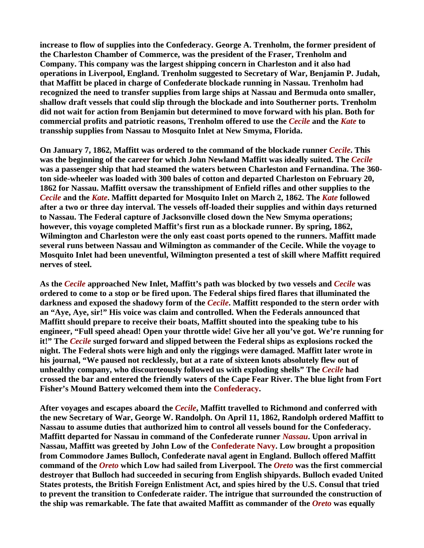**increase to flow of supplies into the Confederacy. George A. Trenholm, the former president of the Charleston Chamber of Commerce, was the president of the Fraser, Trenholm and Company. This company was the largest shipping concern in Charleston and it also had operations in Liverpool, England. Trenholm suggested to Secretary of War, Benjamin P. Judah, that Maffitt be placed in charge of Confederate blockade running in Nassau. Trenholm had recognized the need to transfer supplies from large ships at Nassau and Bermuda onto smaller, shallow draft vessels that could slip through the blockade and into Southerner ports. Trenholm did not wait for action from Benjamin but determined to move forward with his plan. Both for commercial profits and patriotic reasons, Trenholm offered to use the** *Cecile* **and the** *Kate* **to transship supplies from Nassau to Mosquito Inlet at New Smyma, Florida.**

**On January 7, 1862, Maffitt was ordered to the command of the blockade runner** *Cecile***. This was the beginning of the career for which John Newland Maffitt was ideally suited. The** *Cecile* **was a passenger ship that had steamed the waters between Charleston and Fernandina. The 360 ton side-wheeler was loaded with 300 bales of cotton and departed Charleston on February 20, 1862 for Nassau. Maffitt oversaw the transshipment of Enfield rifles and other supplies to the**  *Cecile* **and the** *Kate***. Maffitt departed for Mosquito Inlet on March 2, 1862. The** *Kate* **followed after a two or three day interval. The vessels off-loaded their supplies and within days returned to Nassau. The Federal capture of Jacksonville closed down the New Smyma operations; however, this voyage completed Maffit's first run as a blockade runner. By spring, 1862, Wilmington and Charleston were the only east coast ports opened to the runners. Maffitt made several runs between Nassau and Wilmington as commander of the Cecile. While the voyage to Mosquito Inlet had been uneventful, Wilmington presented a test of skill where Maffitt required nerves of steel.**

**As the** *Cecile* **approached New Inlet, Maffitt's path was blocked by two vessels and** *Cecile* **was ordered to come to a stop or be fired upon. The Federal ships fired flares that illuminated the darkness and exposed the shadowy form of the** *Cecile***. Maffitt responded to the stern order with an "Aye, Aye, sir!" His voice was claim and controlled. When the Federals announced that Maffitt should prepare to receive their boats, Maffitt shouted into the speaking tube to his engineer, "Full speed ahead! Open your throttle wide! Give her all you've got. We're running for it!" The** *Cecile* **surged forward and slipped between the Federal ships as explosions rocked the night. The Federal shots were high and only the riggings were damaged. Maffitt later wrote in his journal, "We paused not recklessly, but at a rate of sixteen knots absolutely flew out of unhealthy company, who discourteously followed us with exploding shells" The** *Cecile* **had crossed the bar and entered the friendly waters of the Cape Fear River. The blue light from Fort Fisher's Mound Battery welcomed them into the Confederacy.**

**After voyages and escapes aboard the** *Cecile***, Maffitt travelled to Richmond and conferred with the new Secretary of War, George W. Randolph. On April 11, 1862, Randolph ordered Maffitt to Nassau to assume duties that authorized him to control all vessels bound for the Confederacy. Maffitt departed for Nassau in command of the Confederate runner** *Nassau***. Upon arrival in Nassau, Maffitt was greeted by John Low of the Confederate Navy. Low brought a proposition from Commodore James Bulloch, Confederate naval agent in England. Bulloch offered Maffitt command of the** *Oreto* **which Low had sailed from Liverpool. The** *Oreto* **was the first commercial destroyer that Bulloch had succeeded in securing from English shipyards. Bulloch evaded United States protests, the British Foreign Enlistment Act, and spies hired by the U.S. Consul that tried to prevent the transition to Confederate raider. The intrigue that surrounded the construction of the ship was remarkable. The fate that awaited Maffitt as commander of the** *Oreto* **was equally**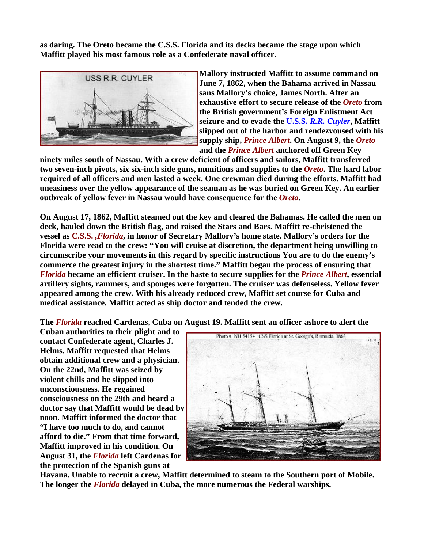**as daring. The Oreto became the C.S.S. Florida and its decks became the stage upon which Maffitt played his most famous role as a Confederate naval officer.**



**Mallory instructed Maffitt to assume command on June 7, 1862, when the Bahama arrived in Nassau sans Mallory's choice, James North. After an exhaustive effort to secure release of the** *Oreto* **from the British government's Foreign Enlistment Act seizure and to evade the U.S.S.** *R.R. Cuyler***, Maffitt slipped out of the harbor and rendezvoused with h is supply ship,** *Prince Albert***. On August 9, the** *Oret o* **and the** *Prince Albert* **anchored off Green Key** 

**ninety miles south of Nassau. With a crew deficient of officers and sailors, Maffitt transferred two seven-inch pivots, six six-inch side guns, munitions and supplies to the** *Oreto***. The hard labor required of all officers and men lasted a week. One crewman died during the efforts. Maffitt had uneasiness over the yellow appearance of the seaman as he was buried on Green Key. An earlier outbreak of yellow fever in Nassau would have consequence for the** *Oreto***.**

**On August 17, 1862, Maffitt steamed out the key and cleared the Bahamas. He called the men on deck, hauled down the British flag, and raised the Stars and Bars. Maffitt re-christened the vessel as C.S.S.** *,Florida***, in honor of Secretary Mallory's home state. Mallory's orders for the Florida were read to the crew: "You will cruise at discretion, the department being unwilling to circumscribe your movements in this regard by specific instructions You are to do the enemy's commerce the greatest injury in the shortest time." Maffitt began the process of ensuring that**  *Florida* **became an efficient cruiser. In the haste to secure supplies for the** *Prince Albert***, essential artillery sights, rammers, and sponges were forgotten. The cruiser was defenseless. Yellow fever appeared among the crew. With his already reduced crew, Maffitt set course for Cuba and medical assistance. Maffitt acted as ship doctor and tended the crew.**

**The** *Florida* **reached Cardenas, Cuba on August 19. Maffitt sent an officer ashore to alert the** 

**Cuban authorities to their plight and to contact Confederate agent, Charles J. Helms. Maffitt requested that Helms obtain additional crew and a physician. On the 22nd, Maffitt was seized by violent chills and he slipped into unconsciousness. He regained consciousness on the 29th and heard a doctor say that Maffitt would be dead by noon. Maffitt informed the doctor that "I have too much to do, and cannot afford to die." From that time forward, Maffitt improved in his condition. On August 31, the** *Florida* **left Cardenas for the protection of the Spanish guns at** 



**Havana. Unable to recruit a crew, Maffitt determined to steam to the Southern port of Mobile. The longer the** *Florida* **delayed in Cuba, the more numerous the Federal warships.**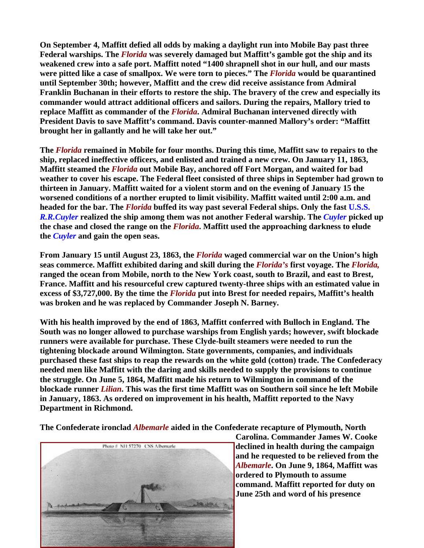**On September 4, Maffitt defied all odds by making a daylight run into Mobile Bay past three Federal warships. The** *Florida* **was severely damaged but Maffitt's gamble got the ship and its weakened crew into a safe port. Maffitt noted "1400 shrapnell shot in our hull, and our masts were pitted like a case of smallpox. We were torn to pieces." The** *Florida* **would be quarantined until September 30th; however, Maffitt and the crew did receive assistance from Admiral Franklin Buchanan in their efforts to restore the ship. The bravery of the crew and especially its commander would attract additional officers and sailors. During the repairs, Mallory tried to replace Maffitt as commander of the** *Florida***. Admiral Buchanan intervened directly with President Davis to save Maffitt's command. Davis counter-manned Mallory's order: "Maffitt brought her in gallantly and he will take her out."**

**The** *Florida* **remained in Mobile for four months. During this time, Maffitt saw to repairs to the ship, replaced ineffective officers, and enlisted and trained a new crew. On January 11, 1863, Maffitt steamed the** *Florida* **out Mobile Bay, anchored off Fort Morgan, and waited for bad weather to cover his escape. The Federal fleet consisted of three ships in September had grown to thirteen in January. Maffitt waited for a violent storm and on the evening of January 15 the worsened conditions of a norther erupted to limit visibility. Maffitt waited until 2:00 a.m. and headed for the bar. The** *Florida* **buffed its way past several Federal ships. Only the fast U.S.S.**  *R.R.Cuyler* realized the ship among them was not another Federal warship. The *Cuyler* picked up **the chase and closed the range on the** *Florida***. Maffitt used the approaching darkness to elude the** *Cuyler* **and gain the open seas.**

**From January 15 until August 23, 1863, the** *Florida* **waged commercial war on the Union's high seas commerce. Maffitt exhibited daring and skill during the** *Florida's* **first voyage. The** *Florida,* **ranged the ocean from Mobile, north to the New York coast, south to Brazil, and east to Brest, France. Maffitt and his resourceful crew captured twenty-three ships with an estimated value in excess of \$3,727,000. By the time the** *Florida* **put into Brest for needed repairs, Maffitt's health was broken and he was replaced by Commander Joseph N. Barney.**

**With his health improved by the end of 1863, Maffitt conferred with Bulloch in England. The South was no longer allowed to purchase warships from English yards; however, swift blockade runners were available for purchase. These Clyde-built steamers were needed to run the tightening blockade around Wilmington. State governments, companies, and individuals purchased these fast ships to reap the rewards on the white gold (cotton) trade. The Confederacy needed men like Maffitt with the daring and skills needed to supply the provisions to continue the struggle. On June 5, 1864, Maffitt made his return to Wilmington in command of the blockade runner** *Lilian***. This was the first time Maffitt was on Southern soil since he left Mobile in January, 1863. As ordered on improvement in his health, Maffitt reported to the Navy Department in Richmond.**

**The Confederate ironclad** *Albemarle* **aided in the Confederate recapture of Plymouth, North** 



**Carolina. Commander James W. Cooke declined in health during the campaign and he requested to be relieved from the**  *Albemarle***. On June 9, 1864, Maffitt was ordered to Plymouth to assume command. Maffitt reported for duty on June 25th and word of his presence**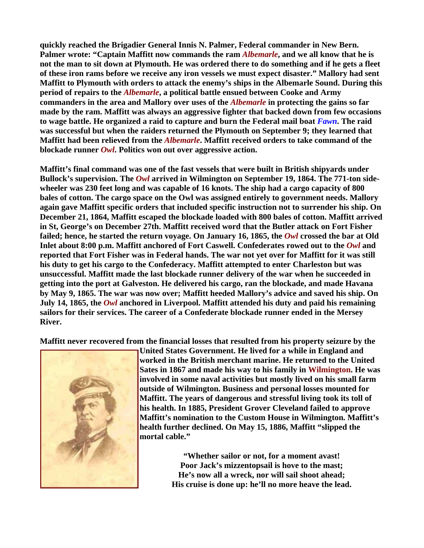**quickly reached the Brigadier General Innis N. Palmer, Federal commander in New Bern. Palmer wrote: "Captain Maffitt now commands the ram** *Albemarle***, and we all know that he is not the man to sit down at Plymouth. He was ordered there to do something and if he gets a fleet of these iron rams before we receive any iron vessels we must expect disaster." Mallory had sent Maffitt to Plymouth with orders to attack the enemy's ships in the Albemarle Sound. During this period of repairs to the** *Albemarle***, a political battle ensued between Cooke and Army commanders in the area and Mallory over uses of the** *Albemarle* **in protecting the gains so far made by the ram. Maffitt was always an aggressive fighter that backed down from few occasions to wage battle. He organized a raid to capture and burn the Federal mail boat** *Fawn***. The raid was successful but when the raiders returned the Plymouth on September 9; they learned that Maffitt had been relieved from the** *Albemarle***. Maffitt received orders to take command of the blockade runner** *Owl***. Politics won out over aggressive action.**

**Maffitt's final command was one of the fast vessels that were built in British shipyards under Bullock's supervision. The** *Owl* **arrived in Wilmington on September 19, 1864. The 771-ton sidewheeler was 230 feet long and was capable of 16 knots. The ship had a cargo capacity of 800 bales of cotton. The cargo space on the Owl was assigned entirely to government needs. Mallory again gave Maffitt specific orders that included specific instruction not to surrender his ship. On December 21, 1864, Maffitt escaped the blockade loaded with 800 bales of cotton. Maffitt arrived in St, George's on December 27th. Maffitt received word that the Butler attack on Fort Fisher**  failed; hence, he started the return voyage. On January 16, 1865, the *Owl* crossed the bar at Old Inlet about 8:00 p.m. Maffitt anchored of Fort Caswell. Confederates rowed out to the *Owl* and **reported that Fort Fisher was in Federal hands. The war not yet over for Maffitt for it was still his duty to get his cargo to the Confederacy. Maffitt attempted to enter Charleston but was unsuccessful. Maffitt made the last blockade runner delivery of the war when he succeeded in getting into the port at Galveston. He delivered his cargo, ran the blockade, and made Havana by May 9, 1865. The war was now over; Maffitt heeded Mallory's advice and saved his ship. On July 14, 1865, the** *Owl* **anchored in Liverpool. Maffitt attended his duty and paid his remaining sailors for their services. The career of a Confederate blockade runner ended in the Mersey River.**

**Maffitt never recovered from the financial losses that resulted from his property seizure by the** 



**United States Government. He lived for a while in England and worked in the British merchant marine. He returned to the United Sates in 1867 and made his way to his family in Wilmington. He was involved in some naval activities but mostly lived on his small farm outside of Wilmington. Business and personal losses mounted for Maffitt. The years of dangerous and stressful living took its toll of his health. In 1885, President Grover Cleveland failed to approve Maffitt's nomination to the Custom House in Wilmington. Maffitt's health further declined. On May 15, 1886, Maffitt "slipped the mortal cable."**

> **"Whether sailor or not, for a moment avast! Poor Jack's mizzentopsail is hove to the mast; He's now all a wreck, nor will sail shoot ahead; His cruise is done up: he'll no more heave the lead.**